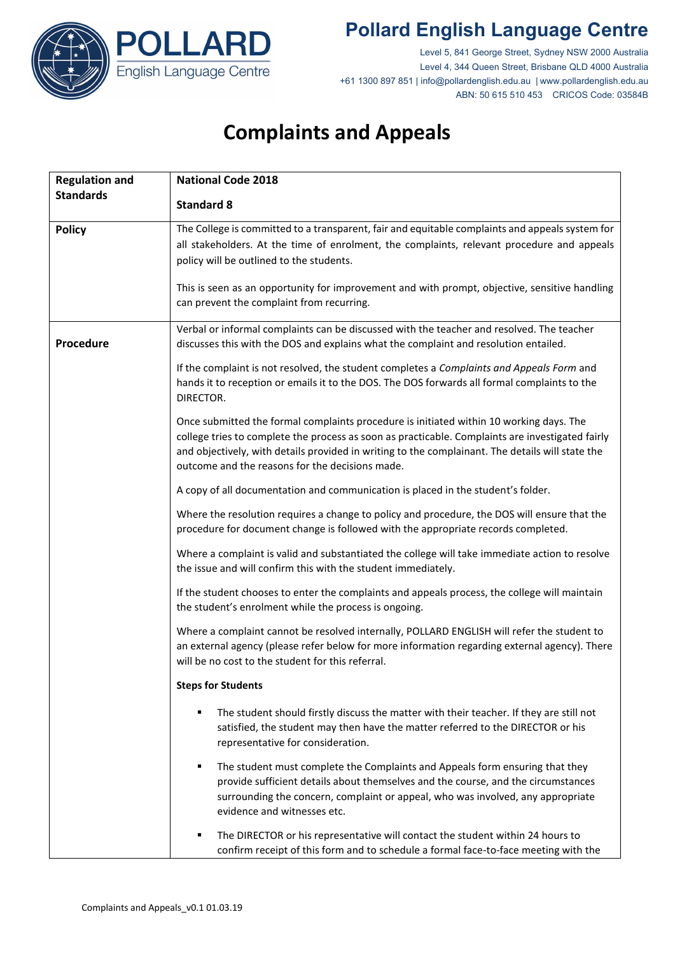

## **Pollard English Language Centre**

Level 5, 841 George Street, Sydney NSW 2000 Australia Level 4, 344 Queen Street, Brisbane QLD 4000 Australia +61 1300 897 851 | info@pollardenglish.edu.au | www.pollardenglish.edu.au ABN: 50 615 510 453 CRICOS Code: 03584B

# **Complaints and Appeals**

| <b>Regulation and</b> | <b>National Code 2018</b>                                                                                                                                                                                                                                                                                                                          |
|-----------------------|----------------------------------------------------------------------------------------------------------------------------------------------------------------------------------------------------------------------------------------------------------------------------------------------------------------------------------------------------|
| <b>Standards</b>      | <b>Standard 8</b>                                                                                                                                                                                                                                                                                                                                  |
| <b>Policy</b>         | The College is committed to a transparent, fair and equitable complaints and appeals system for<br>all stakeholders. At the time of enrolment, the complaints, relevant procedure and appeals<br>policy will be outlined to the students.                                                                                                          |
|                       | This is seen as an opportunity for improvement and with prompt, objective, sensitive handling<br>can prevent the complaint from recurring.                                                                                                                                                                                                         |
| Procedure             | Verbal or informal complaints can be discussed with the teacher and resolved. The teacher<br>discusses this with the DOS and explains what the complaint and resolution entailed.                                                                                                                                                                  |
|                       | If the complaint is not resolved, the student completes a Complaints and Appeals Form and<br>hands it to reception or emails it to the DOS. The DOS forwards all formal complaints to the<br>DIRECTOR.                                                                                                                                             |
|                       | Once submitted the formal complaints procedure is initiated within 10 working days. The<br>college tries to complete the process as soon as practicable. Complaints are investigated fairly<br>and objectively, with details provided in writing to the complainant. The details will state the<br>outcome and the reasons for the decisions made. |
|                       | A copy of all documentation and communication is placed in the student's folder.                                                                                                                                                                                                                                                                   |
|                       | Where the resolution requires a change to policy and procedure, the DOS will ensure that the<br>procedure for document change is followed with the appropriate records completed.                                                                                                                                                                  |
|                       | Where a complaint is valid and substantiated the college will take immediate action to resolve<br>the issue and will confirm this with the student immediately.                                                                                                                                                                                    |
|                       | If the student chooses to enter the complaints and appeals process, the college will maintain<br>the student's enrolment while the process is ongoing.                                                                                                                                                                                             |
|                       | Where a complaint cannot be resolved internally, POLLARD ENGLISH will refer the student to<br>an external agency (please refer below for more information regarding external agency). There<br>will be no cost to the student for this referral.                                                                                                   |
|                       | <b>Steps for Students</b>                                                                                                                                                                                                                                                                                                                          |
|                       | The student should firstly discuss the matter with their teacher. If they are still not<br>satisfied, the student may then have the matter referred to the DIRECTOR or his<br>representative for consideration.                                                                                                                                    |
|                       | The student must complete the Complaints and Appeals form ensuring that they<br>٠<br>provide sufficient details about themselves and the course, and the circumstances<br>surrounding the concern, complaint or appeal, who was involved, any appropriate<br>evidence and witnesses etc.                                                           |
|                       | The DIRECTOR or his representative will contact the student within 24 hours to<br>confirm receipt of this form and to schedule a formal face-to-face meeting with the                                                                                                                                                                              |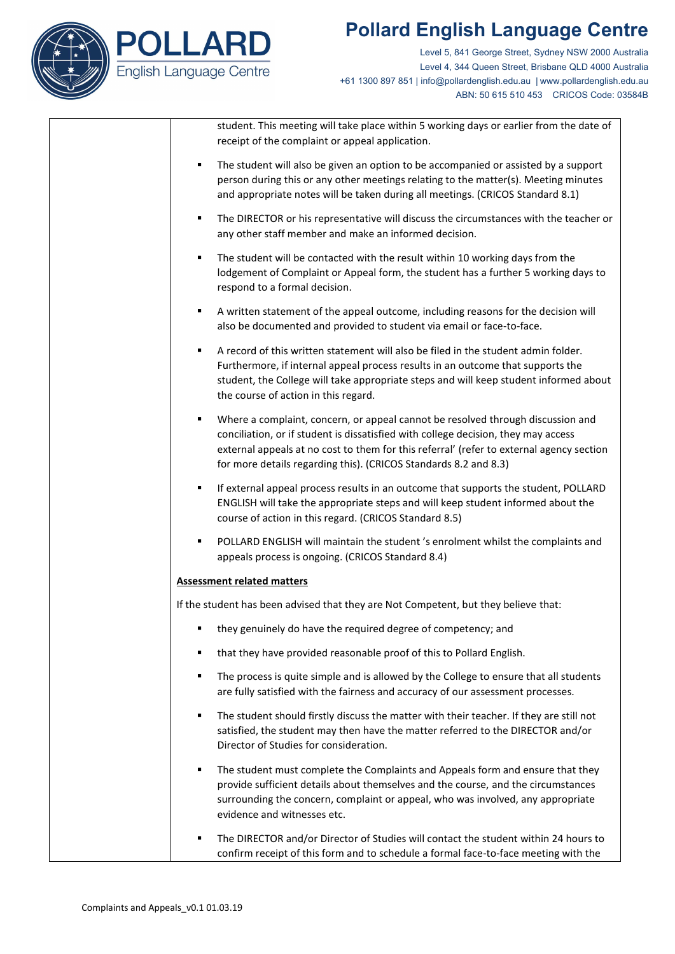

## **Pollard English Language Centre**

Level 5, 841 George Street, Sydney NSW 2000 Australia Level 4, 344 Queen Street, Brisbane QLD 4000 Australia +61 1300 897 851 | info@pollardenglish.edu.au | www.pollardenglish.edu.au ABN: 50 615 510 453 CRICOS Code: 03584B

student. This meeting will take place within 5 working days or earlier from the date of receipt of the complaint or appeal application.

- The student will also be given an option to be accompanied or assisted by a support person during this or any other meetings relating to the matter(s). Meeting minutes and appropriate notes will be taken during all meetings. (CRICOS Standard 8.1)
- The DIRECTOR or his representative will discuss the circumstances with the teacher or any other staff member and make an informed decision.
- The student will be contacted with the result within 10 working days from the lodgement of Complaint or Appeal form, the student has a further 5 working days to respond to a formal decision.
- A written statement of the appeal outcome, including reasons for the decision will also be documented and provided to student via email or face-to-face.
- A record of this written statement will also be filed in the student admin folder. Furthermore, if internal appeal process results in an outcome that supports the student, the College will take appropriate steps and will keep student informed about the course of action in this regard.
- Where a complaint, concern, or appeal cannot be resolved through discussion and conciliation, or if student is dissatisfied with college decision, they may access external appeals at no cost to them for this referral' (refer to external agency section for more details regarding this). (CRICOS Standards 8.2 and 8.3)
- If external appeal process results in an outcome that supports the student, POLLARD ENGLISH will take the appropriate steps and will keep student informed about the course of action in this regard. (CRICOS Standard 8.5)
- POLLARD ENGLISH will maintain the student 's enrolment whilst the complaints and appeals process is ongoing. (CRICOS Standard 8.4)

### **Assessment related matters**

If the student has been advised that they are Not Competent, but they believe that:

- they genuinely do have the required degree of competency; and
- that they have provided reasonable proof of this to Pollard English.
- The process is quite simple and is allowed by the College to ensure that all students are fully satisfied with the fairness and accuracy of our assessment processes.
- The student should firstly discuss the matter with their teacher. If they are still not satisfied, the student may then have the matter referred to the DIRECTOR and/or Director of Studies for consideration.
- The student must complete the Complaints and Appeals form and ensure that they provide sufficient details about themselves and the course, and the circumstances surrounding the concern, complaint or appeal, who was involved, any appropriate evidence and witnesses etc.
- The DIRECTOR and/or Director of Studies will contact the student within 24 hours to confirm receipt of this form and to schedule a formal face-to-face meeting with the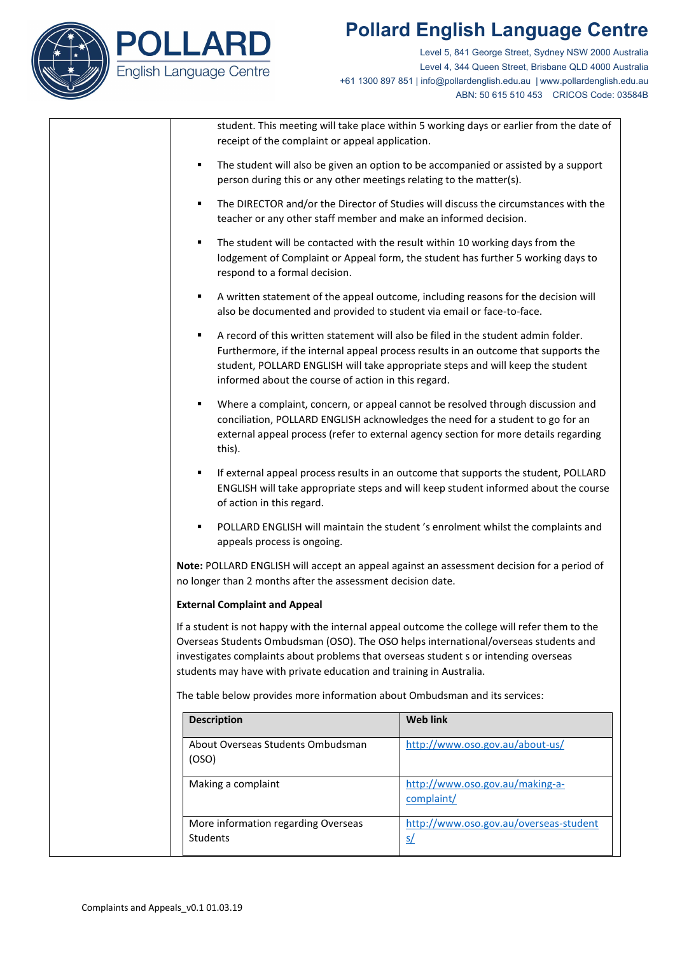



Level 5, 841 George Street, Sydney NSW 2000 Australia Level 4, 344 Queen Street, Brisbane QLD 4000 Australia +61 1300 897 851 | info@pollardenglish.edu.au | www.pollardenglish.edu.au ABN: 50 615 510 453 CRICOS Code: 03584B

student. This meeting will take place within 5 working days or earlier from the date of receipt of the complaint or appeal application.

- The student will also be given an option to be accompanied or assisted by a support person during this or any other meetings relating to the matter(s).
- The DIRECTOR and/or the Director of Studies will discuss the circumstances with the teacher or any other staff member and make an informed decision.
- The student will be contacted with the result within 10 working days from the lodgement of Complaint or Appeal form, the student has further 5 working days to respond to a formal decision.
- A written statement of the appeal outcome, including reasons for the decision will also be documented and provided to student via email or face-to-face.
- A record of this written statement will also be filed in the student admin folder. Furthermore, if the internal appeal process results in an outcome that supports the student, POLLARD ENGLISH will take appropriate steps and will keep the student informed about the course of action in this regard.
- Where a complaint, concern, or appeal cannot be resolved through discussion and conciliation, POLLARD ENGLISH acknowledges the need for a student to go for an external appeal process (refer to external agency section for more details regarding this).
- If external appeal process results in an outcome that supports the student, POLLARD ENGLISH will take appropriate steps and will keep student informed about the course of action in this regard.
- POLLARD ENGLISH will maintain the student 's enrolment whilst the complaints and appeals process is ongoing.

**Note:** POLLARD ENGLISH will accept an appeal against an assessment decision for a period of no longer than 2 months after the assessment decision date.

### **External Complaint and Appeal**

If a student is not happy with the internal appeal outcome the college will refer them to the Overseas Students Ombudsman (OSO). The OSO helps international/overseas students and investigates complaints about problems that overseas student s or intending overseas students may have with private education and training in Australia.

The table below provides more information about Ombudsman and its services:

| <b>Description</b>                              | <b>Web link</b>                                     |
|-------------------------------------------------|-----------------------------------------------------|
| About Overseas Students Ombudsman<br>(OSO)      | http://www.oso.gov.au/about-us/                     |
| Making a complaint                              | http://www.oso.gov.au/making-a-<br>complaint/       |
| More information regarding Overseas<br>Students | http://www.oso.gov.au/overseas-student<br><u>s/</u> |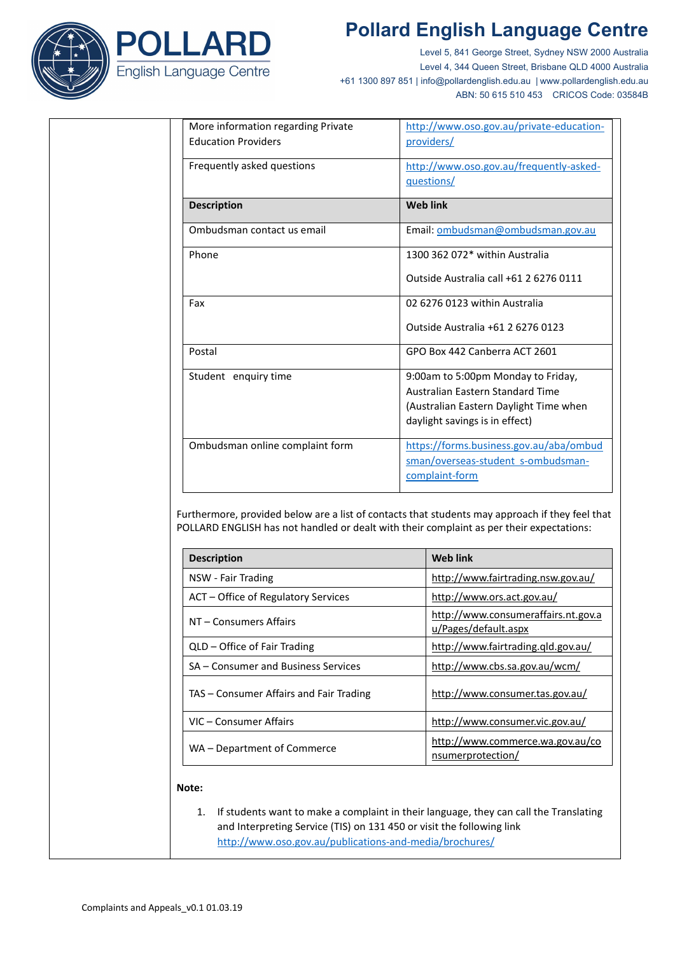





Level 5, 841 George Street, Sydney NSW 2000 Australia Level 4, 344 Queen Street, Brisbane QLD 4000 Australia +61 1300 897 851 | info@pollardenglish.edu.au | www.pollardenglish.edu.au ABN: 50 615 510 453 CRICOS Code: 03584B

| More information regarding Private<br><b>Education Providers</b> | http://www.oso.gov.au/private-education-<br>providers/ |
|------------------------------------------------------------------|--------------------------------------------------------|
| Frequently asked questions                                       | http://www.oso.gov.au/frequently-asked-<br>questions/  |
| <b>Description</b>                                               | <b>Web link</b>                                        |
| Ombudsman contact us email                                       | Email: ombudsman@ombudsman.gov.au                      |
| Phone                                                            | 1300 362 072* within Australia                         |
|                                                                  | Outside Australia call +61 2 6276 0111                 |
| Fax                                                              | 02 6276 0123 within Australia                          |
|                                                                  | Outside Australia +61 2 6276 0123                      |
| Postal                                                           | GPO Box 442 Canberra ACT 2601                          |
| Student enquiry time                                             | 9:00am to 5:00pm Monday to Friday,                     |
|                                                                  | Australian Eastern Standard Time                       |
|                                                                  | (Australian Eastern Daylight Time when                 |
|                                                                  | daylight savings is in effect)                         |
| Ombudsman online complaint form                                  | https://forms.business.gov.au/aba/ombud                |
|                                                                  | sman/overseas-student s-ombudsman-                     |
|                                                                  | complaint-form                                         |

Furthermore, provided below are a list of contacts that students may approach if they feel that POLLARD ENGLISH has not handled or dealt with their complaint as per their expectations:

| <b>Description</b>                      | Web link                                                    |
|-----------------------------------------|-------------------------------------------------------------|
| NSW - Fair Trading                      | http://www.fairtrading.nsw.gov.au/                          |
| ACT – Office of Regulatory Services     | http://www.ors.act.gov.au/                                  |
| NT – Consumers Affairs                  | http://www.consumeraffairs.nt.gov.a<br>u/Pages/default.aspx |
| QLD – Office of Fair Trading            | http://www.fairtrading.qld.gov.au/                          |
| SA - Consumer and Business Services     | http://www.cbs.sa.gov.au/wcm/                               |
| TAS - Consumer Affairs and Fair Trading | http://www.consumer.tas.gov.au/                             |
| VIC – Consumer Affairs                  | http://www.consumer.vic.gov.au/                             |
| WA - Department of Commerce             | http://www.commerce.wa.gov.au/co<br>nsumerprotection/       |

#### **Note:**

1. If students want to make a complaint in their language, they can call the Translating and Interpreting Service (TIS) on 131 450 or visit the following link <http://www.oso.gov.au/publications-and-media/brochures/>